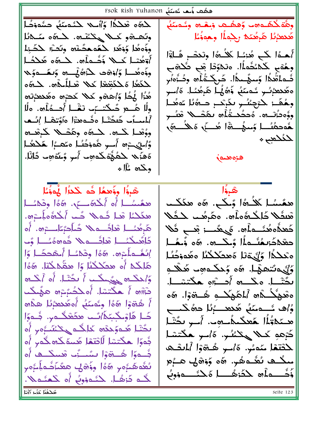Fsok Rish Yuhanon فَمَمَّةِ Fsok Rish Yuhanon لِهُو مِّلِكَمَا وَٱمْــلا حَنُـومَنَّهُ حَشُوْخُـلَ وَفَقَدْكُلُّدُهُ وَقَدْمُ فَقَدْ وَسَقَدَتُهُمْ وَشَدَّمَتُكُمْ وَشَدَيْبُهُمْ وتُهِدْهِ كُمْ لِكُنْدُهِ. لَكُمْ مَكْمُلْ هُدهرُنَا هَرِهُمَدْ رِجِهِ أَا وِجِهِ ذُمَّا وِفَوهُا وَوْهُد كِمَهِ هِمُسْرَهِ وِنَحِبْهِ كَحَزِا أَهْدًا كُلِّ هُٰذِيًا كَلُّهُ! وِتَعْضُرِ قَاةًا أُقِقُتِيا كَبِيلًا وَّشْـوَاهُ. كَبِيَةُو قَطِيَبَا وهُدْمٍ لَكُمْنُثُماًا. وتَمْوُثَا ثِم ثَلَاهُب وؤُهِمُكُمْ وَأَوْرَهُ صَدْرُهُ إِنَّ وَسَفَسُوكِهِ كُــملقُـدُا وَمــمُـــدًا. كَـرِيكَــتُٰلَمُ وكُــزُّەُبِ لْحَكْمَا هَكَتْتَعْدَا كَلا مْحَلِلُّكْوهِ. كَمَوْه ەھَكھۇنىر ئىمنىڭ ۋَھُلُّا ھُرِھُنَا. ەَاسر هُدًا هُدًا وَأَعِدْو كَلا كَحِرْهِ وهُدِهَرْتُهِ وهُفَـٰۃ ۖ كَرْكِنُنُـٰبِ لَكَرْكَـٰبِ حَـٰهُ ُلَّا يَـٰهُـٰـلِ ولًا هُـــم حَـكْتـــرَ لَــقْـــل أُحـــهُلْهِ. ولُل ووُّەداشە. ەُحكُمْتْفْلُە بْكَشْمْلا مْشُبْر أَلْمَسِلَّكَ حُبَّضْلًا وَشُدْهَرْ وَأَوَّتَهْكَ إِنْكُ هُّدَحَمُنُـــا وَمِنهُـــةُ الْمَــــزَى هَـلاَـــةَى وُوْهَا كَــْهِ. كَــْهُه وَهُـَـْـِلا كَـرْهَــْهِ لمُلْلعبي \* وَّاسِّيْ مِنْ أَسِي هُودُنُـا وَحَمَـٰٓ الْمَحْمَدُ ەَھَزَىد خَطُوْتُهَكُمُومَ أَمِرٍ وُمِتَّةَومِ قَالْلُ. فزمعته وكحده لمألغه هْبِزُا وِذَهِمًا ثُمَّ كَحَرًا يُهْوَٰٓءًا ۿڔۏؙٳ همُسُــا أَه أَكْتَهَـــــــدٍ. 56أ وثَّهْــا ھمَسُـا كَلَـٰہُا وَّـكَــہِ. ہُہ ھنَكَــٰـَـٰ مَنَكْئًا مَا شُولًا شَبْ أَكْرُهُولُورُو. مْتَثَلًا خَلَكْتُهُ¤مُه. وهُبِعُب لَحَشًا هَرمُنْكَ هَائْـــمِى دَلَمَّ اِسْتَ هِ. أَه كَعْدُهُ مِنْ هُدَهُ . هَ أَصْدُرُهُ . هَدْ مَثْمُهُ مَثْلُهُ مَثْلُمُهُ مَثْلُمُ كَامُّعَىكْمُـــا مْلائْــــمىلا خُمھۇمُـــا وُب حَقَّدْكَرْتَعُنَّــه أَلْمَ وُحْــــــره . وَهُ وُحَصَّــل إِنْهُــوأَــْرَه. هَٰهُ| وِثْلَمْـٰـا أَــْقَصَـٰـا وَا مْنْكُمَّا وَإِيَّةَنَا هَمْتَكَكْتُا مَعُمْوْتُنَا ۖ هَالَكُمْ أَو مِحَكْكُمُّا وَا مِخْمَكْتَا. وَوَا ۇڭ ئىقتىل. ۋە كېڭ ھەب ئېلگى وَأَحَدٌ مِنَ مِنْ الْمُتَارِ. أَو أَحْدِهِ بِّئْتِ مِنْ مِنْ مِنْ مِكْتِسْ لِ طَرْآره أَ هَكْتَسْلَ أَوْحَظْهُوْرَهِ هَهُكُت ەقىمگىگە كاڭھكى ھىقۋا. ھە اً هُوْوْا وْݣَا وْهُمْنُو أُوهُكُمْ الْعَلَّامُ الْمَارَة وُاف شَــومَنْ هَٰذِهِــــِّرْنَا دَهُكْـــــو كَـا فَاوْكْبِنَكْ/سُـ مِكْمْكُــم، جُــموَّا هـمَمْتُمْلُمْ هَهكمهُــوِب. أَـــو بحُتْـا ىدَّتْا مَدْدِّدْتْتْ كَلْكُدْ كَتْشَبَّوْمِ أَوْ كَرْهُمِ كَمِلاً بِكُنْتُس، هَاسِرِ هَكْتَشَا بُورًا حِكْتِسًا لِّاكْتَعْا هُسْمُكُلُّ هُدُو أُو َحْقَتْهَا مَدْمُر. 16مر هُـ ۋَوْا أَءَلَّاتُـُـ ه بُّــوَا هُـــةوَا بِسُـــَّب مِّنبكُــفاً أَه مىڭىگە ئۇسەئەر. %ە ۇۋ%لى ھىبۇ بُعثُوهُم، وَأَوْهَا وَجُعَبُ حَمَّدُوَهُ وَ وَّهُـــــه أَه للصَّرْهُـــــا هَلْمُــــــــه وَوِبُ كُـه دَرْهُـا. حَنَّـه;وبُ أَه كَعنَـه\\. مُحدَمُنُا حَرَّم ٱلْأَمَّا seite 12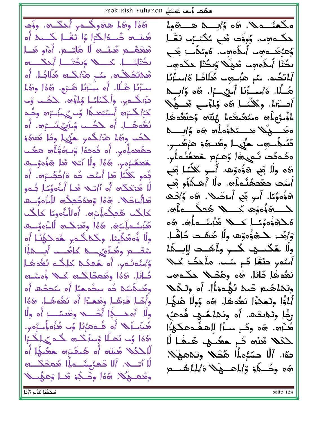Fsok Rish Yuhanon فَمَمَّة Fsok Rish Yuhanon أَهُمَا وَهَا هِدْوِيْكُمْ أَبْلَكُ: وَوَّد ەڭھئىسە\\. %ە ۆ/بەك ھىس%ولم مُحسْدہ حُسمًا حُبْ أَلاَّ الْمُسَلِّكُسِيْ أَه لمكـدوم. وُوفُد هُـم مُكْتـبُ لَغْـا مْعْدْصَــــم مُّــنْــــم لَّا هَاتـــــم. أَهْرو هَـــا أَوَّهُ وَهُمُوهَ مِنْ أَسْلُمُوهَا وَوَحَدَّمَا وَسَلَمَ مِنْ الْمَرْحَمَ ىدُّتْلْكَ أَنْ حَكَمَ وَيَدُّتْكُمْ أَحَكَّــ بِهِ ىخْتْلْ أَبْدُهِ مِنْ هَجْيٌلا وَيَخْتْلْ جَكْدُوهِ هْلاَنَكُلْاْتُو. بِمُبْ هَزَالْمُدُو هَلَاجُا. أَو آَمْلَنَّصُه. مَمْ هزُمِهم هَٰلَاضًا هَ ُ مِنَّرُنَا مسْرْمًا هُـُلَا. أَه مَسْرْمًا هَـْوَهِ. 5َهُ| وَ5َمَـٰ هُــُلا. هَامـــأَمُلا أَمِيْـــرِّا. هَء وَّاسِــهِ تْزَالْكُتْمِرْ. وْأَلْكْتُلْكَأْ وْلْمْؤْرَى. حْكُسْ وُبْ أُدِيْنَا، وِيُلْأَسَا هُو وَإِنْسٍ هُدِيْنَا كَمُ/كَتْبُرُهُ أَسْتَعْلَمُ أَوْسَ يُهَذِّبُوهِ وَشُمَّ لمُؤْمِرُهِ مَا مُتَعَمِّدُهُمْ لِمُنْتَهِمْ وَحَلُّعُهُ هَا ئُعْدَهُــا. أَه حَدُّــب وُمَّائِهَ نَسْــْرْهِ. أَه ەقىسىۋىلا ھىستىمۇۋەلمۇ ۋە ۋابىسىم لمكُ وهَا هَزَالِكُمْ هَيُّلْ وَدًا هَٰلْهُمْ كَنُبْدُسِهِمْ هُزُيْهَا وِهُنْدَةَ وَعُبْضَتِنِ. حفَعه أُوبِ. أَو خُودوًا وَتَوْوُلُو مَعَت ەكتەكت ئىچىدا ۋەئزەر ھەمئىملەر. ـقَعَمَّتُومِ. 661 ولَّا آتَـٰه قَدا 96ُوُوقِــِهِ ، هَه ولَا بْعِي هُؤُهوْهِ. أُسو گُلُّمَا بْعِي بُّدو ۚ لَكُنَّا مْل أُمْت خُد ةَ ُحُجِّسْ ۞. أُد أُمُت حَقَّدَهُنَّـه}ُo. ولَّا أَهــكُوُّو بْمَـع لًا هَٰزَىْكُلُّهُ أَهُ ٱلْسُلَا هَـٰلِ أَخُوَوُسًا فُحو الْأُوْوَيِّيْا. أُمِنٍ بِّنِي أُمَاتُمِيْلا. الْهُو وَاٰكُنْكَ قْدَاأُمْرِثْمَلا. ﴿ وَا وَهِدَهُ كَمِيكُوهِ ۖ لِأَمْرُوهُمْ مِنْهِ لمستؤوّروها كمسلا كهمكسماأه. كَلِكُتْ هُدِكُمْ أَيْرَةٍ. أَوَلِلْنُووِيَا كَلِكُتْ كَذَهْ وُوَمَّا كَمْلًا هُزُمْهُ وَاُهْ. هُوَ هُنُسُماً مَنْ هَءُا وهُنكس لَلْهُ وَمَسْعَدِ وْابَعْدْ حْــْهْؤُهْوْهِ وِلَّا هُـٰهَـٰت خَاقْــا. وِلْا فْٯَعَدِّيْتِا. وكَمْݣُـوبِ هُوكْوُبُـا أَو ولًا هَكْسِنِي كُسِرٍ وأَهَتِ لِإِسِكَٰا، متقصع وهُدَهَى ہے كاهُــب أَبِــهِذَا أَمْثُم وَهَقَا كَمْ مَمْتٍ. وَأَحْكُمْ كَتَلَا وَاسْدَسُو. أَو هَفِكُمْ كَالِگُمْ تُعْدَهُا ئَائاً. 6ةُا ومُعطَلِّحة كَلَّا وُمِنْدِهِ ىُغُدِهُا دُائا. %ە وهُشْمَلا حكْدەت وقُملاًمَمُ هُو محدُممُا أَو مَحدٌ فَ أَو وِتَمْلَعُبُمْ شَمْ نُؤْءِفُمْاً. أَه وَتَـٰهُلا وأُصْل قَرْهًا وقَعَيْرًا أَو يُغْوِهُا. وَوَا | أُٰٰٰٰٰٰٰٓٓٓٓٓٓٓا وِنَعِيْزُا بُغُوظًا. ۞ وَوِلًا هَبِجُٰٓا ولًا أوجه أُوْ أُوْ اللَّهُ وقَتِيمًا : أَو وَلَا رَجُلُ وتَكْلِبُتُهَا. أَو وتَكْلِمُهُمْ فُوهَهُ هُنزَـــزَلا أَه قُــه6زُلا وُ لهُزُه إِنْــرُوبِ. هُـْ;َه. هُه وكَـٰ مـرًا لِلْهِـفُـهمَكُمْ;ُا اَدُهُ أَ مِّ مَكْمَلَا وَسَآلَكُمْ لَكُمْ كَالْكُمْ } لِكَلا مْتَه ضَرِ هِعَْنَيْ هَنْقًا لَٰا لَّالِكُلا مُعْلَمُ أَو هُمَفُتِرَهِ حَقُمُوا أَو حَهَا. أَلَّا حَسَّرُه أَا هَٰحْلا وتَلاعهْلا. هُه وحُــكُمْ وْالمصهْلا هْالملصَّحْسـم وقعصهُلا. 6ة! وصْهْوْ قُطْ وْعِهُمْلا مُحدُمُل جَرَّءِ ٱلْإِيْلِ seite 12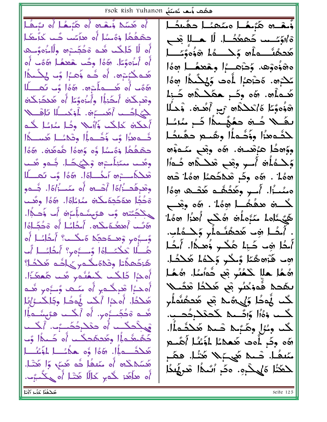Fsok Rish Yuhanon دَهْبَ بَا Fsok Rish Yuhanon أَه هَٰنَدُ ذُهْبُهِ أَه هَٰزُهُا أَه تَزْحَفُا وُنْقَبْهِ هَٰزُمْنَا مِنْهِنَا حَقَّبْتُ حڤَفَقُل وَةَسْلَلْهُ هَرَّسُتَ شَبَ كَرَّبْهَٰذَا ةَ الْأَحْسَىبِ حَمْعَتُنَا. لَا حَسَلِ قِبَ أَه لُا كَلِكُب هُـد ةكُكِبتِرْه وِلَاجُووَّــــِهِ هَدهُنُـــه أَن وَ حَــــهُ اللهُ وَوَدِّـَـــا أَه أَمَرُهوَمَا. 5َهُ| وحُب هَعنِهُـا 5َهُ أَه ٥٥ذُ٥وْها. وُحْرْهَـــرُا وهُعَــُمَــا (٥٥ هُدهُكُمْ10. أَو شُد وَّهـُ} وَ لِكُمْلًا كَثَرُه. هُجْرَهُ} أوت وُلِكُتُمُ أَهْمَا هَهُ أَو هُـــولَمْتِهِ. هَوْا وُ تَحـــأَلَّا هُـهلُم، هُه وِضَرِ ههُـلـدُم صَـزِلم وقَدِيكَةِ أَيْحُنِيُّا وَأَيُّوَوِّيًا أَو هُدَجَّنِكَة أَهْذُهُ وَمَمْ كَالْكُلُهُ ۚ رَبِّي أَهْدَهُ. وْحَلَّلَا لِحَيَادَـــا أَهَمْكُمْ أَوْكُمْاً لَاقْطِلَا بَقَــلا جُــة جَعُجُــبِدَٰا جُــر مُبْرَـٰـل أَحكَّ كَلَّف ذُلَّكَ وَاللَّهُ وَكُلَّ مُنْهَدًا كُنَّ لِحُدُهِمْ وَوَحُدَمُ الْمِعْسِمِ حَقَّىبِصًا ۖ وَوَّهَكُمْ هَزْهُدة. وَهُ وَهْدٍ مَدَوْنَهِ حَقَقُهُا وَمُسْلَرُوهِ وَهَوَا هُوَهُوا وَ وهُـــا ممَالِمُـــْرَه وْلِحَكِكَـا. فُــوو هُـــا وَحْــٰمُلُّٰاتَ أُســرٍ وَبْعَــبِ شَحْــٰكُلُّاتِ ضُـٰدُاْلِ هْلِمُسْتَرْهِ أَمْكُلُّهَا. هَاهُ أَوَّتْ تَعْسَلُا ههُاْ . هُه وِضٍّ هُدْهُهاْ ههُاْ دُه . وقدفَعةُ/16 أُحْسِرُه إِنَّ مَيْسَرُّ/16. فُسور دَمُمْدُّل أُسِي وِهُدُهُّدَ هُدْدَ 90\$ ەْحُجُّا مەَحُجەَ كُلە مارىُاەَا. 5% وَهُـــ كُمْ هُدُهُما هِ دُوْ . هُ هِ وَ هُمْ عَلَيْهِ مِنْ مَسْمَدُ بِكَحَتَتَهُ وً حَوَّضِئُكُمْ مِنَّا أَبْ وَحَكْلٍ. كَمُحَامَدٌ مِنْهُمْ مَا مَا مَثْلِ مَا مَا مَنْهُ هَ تَ أَمِعْدُهُ ذَلِّى أَحْلِبُ أَه وَحُجَاهُ ا . أَحُـا هِ ۖ هُدهُنَّـه اب وَحَــهُلب. وُحِبُرُهِ وَهِـــدَحِكِمْ هَــكَـــبِّ أَحْلَـٰلِ أَه |أَمثُل هِ - حَـٰٓبِل هُكُــٰرٖ وُهـٰٰهَا. أَمثُـل هُـــُلا تَحكُــُــاهُ! وُـــــوُمبِ؟ أَحدُاـُـــا أَب هِ ۖ فَـٰٓ;هفَمَا وُحْكُرٍ وُحْدُا هَٰحَكُـا. هَزَحُهِكُمْ! وِثْمُهُ كُـهرِ يُ\$َهُـهُ هَٰكَـهُ! رَهُ هَا حَلَّا حُمْنُو بِمَعْ حُواُمُا. رَهُ هُـا أُوحرُا دَاكُب كُنْهُنُّورٍ مُّب هَمْجَةًا. ىھَحى فُودُسُ بْعِ هَٰذَا شَثَىلا أُوحِبُرا قَبِيكُوبِ أَو سُبْعَت وُسِبُوبِ قُبِّو هَٰلِكُا. أُهْلَا أَلَّكُتْ يُهْضًا وِجَالَكُتْرُانُا لَّكَ لِمُوَكِّلٍ وَّلْكَ هُمْ مَعْ هَدَهُفُوَلُو هُـــه ەْخُكِّـــزُەم. أَە ٱلْكَـــٰ فَرَّعِشُــٰهَلَّا كُــد وْݣَالْ وَّائْـــمْ كْحَنْكُرِئُصِبْ. هَدِيْدَكَـــد أَه مَثْدَرِدُدَـــرَد. آلَكــد لَّٰٮ وِخُلِّ وِهَٰبَما تَــٰما هَٰلأَحْمَٰلًا. كَتّْمَعْدُد}ا ومُحمَّدكُــد أَه كَــدأا وُت هَ وَمَ لِمُوم هُمِهَا لِمَخْسُلِ أَهْسُم مَحْدُّـــولَمْ. 5% وُه حكْنُـــا لمُؤْسُــا سُبِقُا. شَيْخَ هُدِيَّةٍ هُنْدًا. فَقَع مَّسَٰٰٓىٰدُ أَو سَّنفًا شَو مَّسَىٰ وَا مَّتْـا. لَحْقَتُلُمْ وَلَيَحْرِهِ. وَكَرِ ٱتَّىٰذُا شَرِيَّىٰذُا أُه ماأَمَٰ: خُدبِ حُالًا مَٰتْ أُه حُخْبَب. مُحْدُبُل جَرَّم ٱلْأَمَّا seite 125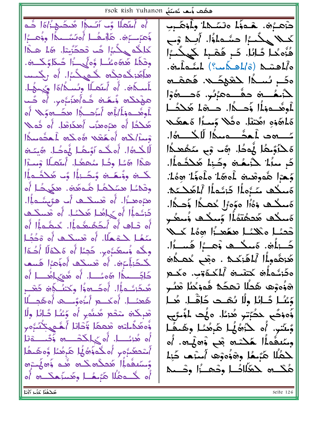Fsok Rish Yuhanon دَهْبَ بَا Fsok Rish Yuhanon أَه أَعْكَالَ وَبِ أَتَّبِجُلَ مُحَكِّمٍةُ}} أُدَّء حْزَهِــرُة. ـ هُــدَدُّا وتَسَّــدْا وأَوْهَــرِب وَْهِيْسِيْرَةِ. هَٰلاَيِجُبِيلِ أَوْيَسُبِيهِ أَلْمُ وَوُهِيزًا كَمِلًا رَكْسَرًا حَشَّمَاؤًا. أَبِيهِ وَبِ كَلِكُم رَكْبُرُا حُبِ دْحَكَّيْتِيْلِ 1⁄6 هـِدْا فُنُوكُمْ شَائًا. ثَمِ فَقَمِهُ كَهِكُمُ! وِثْمًا مَٰدَهَٰ سُلْ وَّهِ أَرْسَٰزًا ضَكَّاوَكَتْ: وألمعشد (صَدْمِداً) لِمُتَعَلَّمَة. هَأَهُمْ كُمْ دِكْرُهِ كُمْ يَكْبُرُا. أَو رَكِّمَسَا ەكىر ئىسىگا ئېقتىكى. قىھقىي لَمسكَاثِ. أَو أَسَّكَمَا وِنُسَكَّاكَا وَيُمِنُّطَ. لأَ**ممُـــة دفْـــە**مُرْسُ. ەُھــــەُوْا مهْدَدُه مْعُـفْ شُـه/ُعزّْئُوب ، أو شَــ |أُوهُـــوفِمُل وَحـــدُل. حـــوها هَكحُـــل أُوهُـــومَأَ/إَه أَخَـــوا هضَــووَ اللهُ أَه كَمْلَاثُوْهِ إِهْتِيْلًا. وَشُلًّا وَمِسْرًا مُعْطَيْلًا هَٰٓدَٰٓحُدُ أَه مَرَهمزَۥ أَمحَدَهَا. أَه شَملا ـُــــــوت أحدَّـــــــوسلا لَّاحُـــــوهُ ا. وْسْلَالِكُمْ أُوهُقُلْا رُؤُوكُمْ لْمُحْوِسِكُمْ ەَݣْرُمُطْ ئُوصُلْ بەَ وْمِ مَعْصَدْا لَّاكْتُوا. أُوجُد أَوُجْعًا يُوجُلْ. وَيَحْتَ هِدًا هَـُـا وِحُـا مُعِعَدًا. أَعْمَـلًا وَمِــرًا كَرِ مِبْلًا جُنْبُهُ وَكِبَا هَكِنْدَاً. لْكُلُّفَ وَفُلِّصَلَّفَ وُحَكَّـٰهَٰۖ إِلَّا وُبِ هَٰلِكُـُـٰدَيُّـا أَوَّهُمْ الْمُؤْمِنُ مِنْ أَدْوَاهُ مَا أَدْوَاهُ مَا مَا مَنْ وثَمْنُا مِسْلَمُا هُءمَٰذِهِ. مِنْهَدُا أُه ەَمىڭك مَـرُّەلُمْ كَرْشُەلُمْ ٱلْمَكْــَـٰكَـٰهُ. مِرَومِدُرُا. أَو مَسكَنِ أَبِ فَوَجِشُولًا. هُمكُـُ فَهُٰا هَوُهُۥُل نُعَـٰهُا وَُصَلًاا. دَّبْدَهِ أَلَّا أَهْ يَهْلُوا هَكْمًا. أَه هَسْكُتْ ەمىڭك ھُدھُتَەُلُّا وَمىڭىگ فُمْعَى أُه ثَـاك أُه أَحدُهُمثُـهأا. حُمثُـهأا أُه تحصما وتلائما مغمثرا وذلا تمللا مَمُا كَـهَمُلا. أَو شَمْكَـفَ أَو وَدُبُـل كَهْذَاهُ. هَمِكْكَ وْهَهُ أَهْسَارًا. وِكُمْ وُسْعَمُبُومٍ. كَجِبًا أَو هَكَفَلًا أُكْمَا هَٰزَهُومُاْ ٱلْمَوْنَكِـدُ . وَبْنَى خُصَـدُهَ لْمُحَزَلَمَ: أَو قَسَلَكَ أُوزُهَ الصَّنَفَ ەكزشەلمۇ كتشىخ كلكىمۆت. ەكتى دَادَـــــدأَا هَءــْـــا. أَه هُدَىٰ اهْـــــا أَه ەُؤُەرْھە ھُڪُلا تىقچُى ھُەوڭىُل ھَئُـر هُددً:شَـه إُل. أُهضَــه وُل وكتسُــكَلِهُ وَكَعْب هُعنُــا. أُهكَـــع أَجُووُــــها أُههَجَـــأَل وَعْنُـا دُّـابُا ولَٰا بُھْـد خَاقْـا. هُــا مْرِكْة مْكْمْ مّْسُورٍ أُو وِّسُّا كَانًا وِلًا وُّەوْشُى ھگَبْتَر ھُزْمًا. دۇگ لمۇڭرىن وْهِ مَكْمَلِيْهِ مْعِمَا وَّدَانَا أَهْمِ كَنُبُومِ وۡنَتُنو. أَه خُزُهُۚ لَٰٓا هَٰٓٓٓوَهُمۡا وَهَٰٓىٰفَا ۖ أَه هُزئــــا. أَه جَالِكْتْـــــه وَّثَـــــــْهَ لَا وسُكِفْهِ أَلْمَكْتُمْ بِيْنَ وْرَوْلُ مِنْ أَوْ أَسْتَتَكَبُّومِ أَوْحُدُوْهُ لَمَا هَرِهُمْا وُوطَّعْقَا لحَمُّلًا هَبُعُمَّا وَوْذُودُتَهُ أَسْتُفَ جُذَا وُسَنُبْقُولُمْ الْمُعَكَّدُونَ مُنْتَ وَأَوْكَنَ وَمَ هُكْده حْهَلَادُ أودْهِــزُا ودْحِمْ أَه كُــومُلَا هَزَيمُــا وِهُسَزَمِكْــرَهِ أَه مُحدُمُل جَرَّءِ ٱلْإِيْلِ seite 126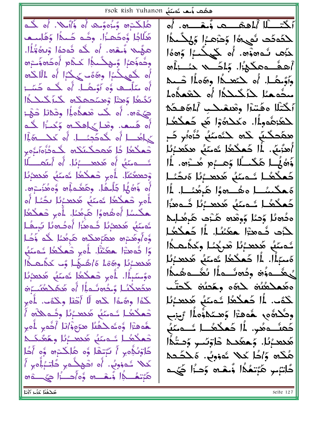Fsok Rish Yuhanon وَهُمْ آمِيْنِ بِهِ Fsok Rish Yuhanon هُالْحُبْرُهِ وُخُووُمِهِ أَو ذَٰأَامِلًا. أَو كُم أَكْتَبْ لَمَا أَلْمَعْتُ هُ أَحْسَنَ وَ أَهْلِ مِنْ أَهْلِ مَكْلَامُا وُوَجَّعْدُا. وَجَّدْ جَنْبِهَا وَقَالِمِيْهَا لْكُمْكُمْ نُمْرِهَا وُحْتَمَـرُا وَٰلِكُـٰـٰهَا ۖ هِهُمْ زُمْهُهَ. أَه لَكُمْ ثَوْقَوْا وْبِهُوْلُا.  $|\mathcal{L}$ حَوَى شَەھوْھ. أَه كَجِهْدَا وَهوە وِحُووُهُمُ | وُحِكْمِيهُ | كَـٰدُهِ أُوحُووُحْرِهِ أه لكميكُمُ! وهَوَّت حَكُمُ! أه لملألكته وَأَوْجِعُهِلْ أَو حَكَمَدِهُ ۖ وَوَوَجَعَلَا حَسِيمًا أَه عَلَٰلَــد وُه أَوُعكُــل أَه كُــد حُمّــز محدَّمِمُا حَذَكَمَا أَو حَقْمِدُوا تَكَبَّعُا وَمِثَا وَمِسْجِعِكُمِ كَيَرُكَّبِكُمْ أكْتْلَا وفَتِيْرًا ومْبِهْيِكِبِ أَلْمَوْهِكُمْ كَهةِ ٥، أو لَكَ تَعْمَلُوهُ! وَثَمَانًا كَهْــ; لكعَنْ هُومُا. وكَكْتُوْا هُو كَعْكْعُلْ أَه فَسِعٍ. وَهْلِيَ اِهْدُ وَيُدِرُّا لَكُمْ هكَحكْسٌ كُلْهِ لِكُمْمَنُ قُنُواُو فَ حْمَلِهُــا أَو حُدَدَيْــا. أَو حَدَــةُ بِٱلْ أُهزَّمَ، أَا حَمكْهَا شَمَمُهُ هدَهْدُرُنَا تْمِكْمُا دَٰا مُعْجَكْتَكُلُّهِ ۖ كُـُودُّوْهَ تُرُومُ ثَــــومَنْعُ أَو هُدهــــــرُنُا. أَو أَمنُفــــأَللَ ذَهُهُــا هَكَـــُا وَهــرُم هُــرْه. 1َا وْحععْتُنَا. لِمُّوبِ شَعِكْعُا شَمَنُو هَٰدِعَةِنَا كَمْكْتُمْا شُمِنَّةُ مُحْتَّبُرًا وَتَشَبَّل أَه ذَهُلُمْ كَلَّحْلَ وهَٰعُـمِلَهِ وُهِ مُدَّتِــْهِ. ەْھكىسُىل ەھْـــەۇل ھُرەدُ لَٰہِ لَٰہِ لمُوءٍ شَعَلْتُمُل شَمَنُو هَٰنِدِيَّا لَدَّنَا أَو كَعِنْكُمْ شَءِمَنُي هَٰذِهِــَٰزُلُمْ شَــٰءِهِدَٰٓا هكْسُا أَوْهُووُا هَرِهُمْا. لِمُورِ تَعْكُمُا ەدُەلا ۇئىل ۇوقدە ھَـْزَى ھُرمُّىلِىد خْمَمَّٰكُمْ هَٰذَا الْمُدَّةُ أَوْ الْمَرْكُمْ لَهُ مِنْ الْمُرْجَدُ لِّدَٰد شَـوْمِتْرَا حِمَّمُنُـل لِهُ! ضَعِكْمُـل وْهِ أُوهَدْوه هِجَرْهِكُمْ جَرِهَٰدًا لَكُمْ وَجُبًا نُـمنِّي هُـدهـرُبُـُا هُـرِيْـُـا وِكَـدُ ـهـدُا وَا ثَومِتْرَا حِمَّنْنَا. لِمُورِ ثُحِكْمًا تُومِّبُ هُمبَرْأًا. أَا حُمكْهُا شَمَبُ هَٰدَهِ بُرْا هُدهبُرُل وهُ1، هَ/هُمهُــا وُ حَكْمُــهــدُا لْمِعْــووُّة ودُه نَــولَمْ لِمُعْــوصُمْ( ەۋسئېلال ماەير شمىگىغا ئەسئان كىدىدۇئا ەھُمكْمُلُبْه كْمُه ومُصُبُه كَحتُب مكَمكْسًا وُحدُه شَـه إِلا أَه مَكَمَـكَمُسَــرَة كْدُا وِرَّدْهُا كُلُّهَ لَّا أَحْدَا وِكْدَّبٍ. لِمُورِ لْكَمَّبٍ. أَا حَمْكُمُا شَمِّئَةٍ مَّدْهَبُكُمْ تْعَكّْتُكُمْ شُمَنّْهُمْ هَٰذِي الْمُؤْمَنَ الْمُسْتَوَاتِكُمْ أَلْمَا الْمُؤْمَنَ وِتَكْلِثُورٍ ۖ هُوَقَتَرَا ۖ وُهِـتَكُلُوْوَا ۖ أَرْبِزِبِ هُوهِ ۚ وَوَحُوكُمُ اللَّهُ وَوَوَاتًا أَضُوبِ لِمُوبِ كَعنُــدمُدِ. 1⁄4 كَعكْمُـــا تَــدمَهُـ تَعكَّمُا شَءِمَهُ مَُحْمَدُوْنَا وَجَعَنْكُ كَحْمَدْتُلْ. وَحَمَكَكُمْ خْارْقِنْبِ وَصِتْكَالَ كَاوْنُكُومِ أَ تَبْتَغَا وُهِ هُلِكُتْرَهِ وُهِ أَكُلَّ هُكُلُّه وُاُهًا كُلاً شُوْوِبُ. هَكْشُعَهُ كَمْلًا شُدْوَوِبُ. أَنْ اتّْخَلِطْدُوبِرِ كَاتّْبُبْلُوبِرٍ أَ حَاتَبِ هَبَتِمُهُا ذُهُد وَحِزًا جَهْد هَبْتُمُكُمُ أَنْمُدِهِ وَهَأَكَدُ الْحَكْمَدُهُ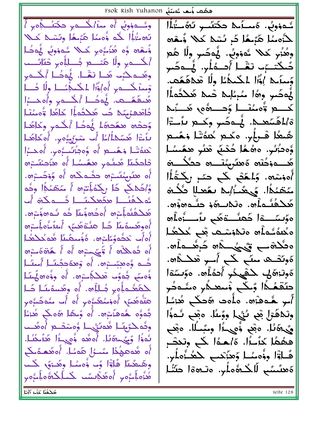Fsok Rish Yuhanon فَمَمَّةِ Fsok Rish Yuhanon ونُـــدووبُ أَدْ سأَالْكُـــدِ وكُنْلُـــدُّوبِر أَ شُەووبُ. ەَمسَلُما ھكْتَىب تَھُسَتْدَ تَوْمِيًّا ﴾ هُومُا هُرُهُا وتَسْمَ كَلا كُنْوَمِمُا هَٰبُهُا ثُمّ تُسْمَ كَلا وُجْهُرَهِ وُّىڤە وُه هُزُمُوه كىلا ئەزول غُەھُل |وِهُٰنُو كَلا شُوْوِبُ. فُهكَــو وِلَا هُـمْ ألْكَـــمبر ولًا هُـْــــع جُـــلِلْمبر شَنَّائــَــب كُىكْتَــِّبَ نَشْـا أُنــەُلُم. فُــەكَـىر وهُــوكُبِ هَــا تَشْـا. هُودُـا أَكْــوبِ وَسِيَٰكُمْ إِوْزًا لِمَكْتَكِمُنَا وِلًا شَكْفَعَت. وْسِلْكُـــوبِ أُوارُّاً لِمَكْمِثُـــا وِلًا دُـــا لْمَحَْسِ وِهَٰا مُبْنُلِه صَّه هَٰذَهُمَا اُ مُحفَّفَ عالَم أَوْصًا أَكْسَمِ وأُوحِسُرًا كَمْسِعْ وْهْمْنْسَا وْحَسَّدْهُ مِنْ شَرْبِهِ دُاهْدەءُبِبُمْ شُبِّ هُجْدُوءُ ُالْكَلِّهُا وُّومُتْلَا ة/اهَيْعِيهِ. في هجّب وكيم بِرَّتْ:ا وَحدُه محَمَّدهَا هُوصًا ٱلْحُـورِ وكَاهَـا ھُىعُا قَـرِہُر. ەڭـــــو كُنەُتْـا وَــمَّـــــو بِرَّبْزَا هُسَّكِلُّامُا أَبِ سْرَرُجُومِ. أَوْجَاهُما وُّەدْتُر. ەھُھُا دُنْتُمْ ھْتُر ھَمُّسُل تْعَفّْتْنَا وَهُنَبْعَ أَنْ وُدْفِنُكُومٍ. أُدْخَرُا ِ ٱلْحَكْمَالِ هُمِنُـٰه وَ مَعْمَمُـٰلِ أَو هَٰذَكْمُنْدِرَهِ أَه هلَهِهُمُبُوْم حَشَّـهِكُمْ أَه وَوَحَّـوْمٍ. |أەفشە. وَلَمَّتْ كُم حَبْ رِكْتُهُاْ| وُاكْمِكُمْ كَا رَجِّدُبُّتِهِ أَ سَقِيْجًا وَهُم مَتَقْتُمُ الْمَعْمَدِ مُهْتَمَنِ مِنْ الْمُنْقَضَ هُكَفُسًا مِنَعكِنَسًا ثَــوَكَةِ أَب هُدْهُنُـه، مُهْرَى مِنْدِهُو حِنُـهِ مِوْرَه. مَكَحُفُهَأَءَ وَاحُدُونَ أَوْ دَوَ مَعْ اللَّهِ وَأَوْ وَ وَ اللَّهِ وَ اللَّهِ وَ اللَّهِ وَ اللَّ ەؤىئىشقا كھنىتەكىي ىأمىشۇە أُهوهُننفُنَا كَبَا هِنُقَهُنَىٰ أَننتُوا أَجْرَه مكلفُتُملُه مثلافِسْت بْمِ كُلاهُا أَه∫َٰٮ تَحَدُوۡكَاتِرُهِۦ ۚ وُۡصِمۡكِنَّا ۚ مُحِكَظُۖ ا ەئكەب ۋېپ ئەگەن ئېھىماھ. أَه شَمَلَكُمْ أَتَّى بَاسِمْ أَه أَ هَنَّةَ مَاسِمٌ ەُوڭشىھ مىگ كىل أسىر شىلىگەت. كُــه وُهميْسْـرْه. أُه وْهدَجِيْسًا أَسسًا ەُولْزەگى خىشىگىر أَئەلمە. دۇنىئەا ؤُهِنِّي بُموَى هَٰذَكَاتِهِم. أَو وؤُوهِكُنَّا حَنَّفَـمُـدًا وُـكَــ وُسعـدُر منُــدحُر لِحَمَّعُـه أُوبِ جُـالِهُ ۞. أَو وِهَٰىـهُ مَـُـا حَـا هَنُّمُعَيِّنَ أُوفِيتُعَيُّونِ أَو أَبَّ يَنُوكُنُّونِ أُس هُـُدهَ: ه، ه ه ه ه ه ه ه هُمْ الله ع بُّدوُّه هُدفزُتِره. أَه وُحطًا 20كُل هُزْئا وِلْـدْفَـٰٓوَلِ بَٰى ۖ نُـٰٓىٰ ۖ وَوُّسُٰا. ۚ هِ بَعْبِ ۖ شُـٰهِ وُّا وثُمكرُبُما هُمنُنُي الْوُمِنْفُــع أُمعُــب وَيُجْوَلًا. وَقِي وُوحِيدًا وِمُبْسَلًا. وَقِي ثَوْدًا وَّيُحِيَّدَهُ لَا. أُوهُد وُّوِجِعاً مَّذَبِّخُلًا. هِهُمَا كَنَبَرُا. هَ/هـهُ| كُبِ وِتَحِصْرِ أَه هُدمهُكُا سُبْرًا هُدْا. أُهمُدَمَكَ فَّاوْۤا وِو۟ەمُـا وَٰهٰٓآدَــ كَعُـزُه اُبِ. وهَيعُينَا قَاوَّا وُب وُّوسُا وهُـزَىٰ لَكَـب ەَھنَىسًى لَالْحُدُّەمْلُر. ەنىھە ئاشلا هُزُّەلٖۢىزُەپ اُەھَٰڋٛلىنُىپ كَلْىلَكْتُەدٖۢلْىزُەپ مُحَدُّمُا جَنَّبِ ٱلْمَالِ

seite 128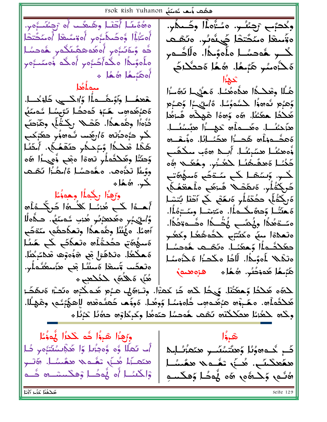Fsok Rish Yuhanon فَمَمَّة Fsok Rish Yuhanon وَهُمَّنَا أَحْسَا وَهُنَّفَ أَوْ رَحِنَّنَــرُوبِ. وِكْتِبْبِ ۚ رَحِنُنُــر. ۚ دَـُـُّوَءُاْ ۖ وِحَــٰـٰمَٰرِ. ٱ٥ڬؙڹٛٱٳ؋ؙ٥ڞؘۿؙڋؚ٥ڔۦ۩ٛۊٮٮٞٮڠڶٵؖ۩ٮٮٞڞۘٞؿڟۘٳ ەۋمىغا مىڭتىدا كىشىر. مەھ خُه و*َحَانَب*ْوَمِ أُوهُد*ُ*هِمَّنَكُمْ هُوَص*َنَ*ا لْحُـــرِ ـمُوصِبُــا ولُومُكُما. ولَّاضُــورِ ەلمەۋىكا ەڭداڭئوم اھگە ۋەسىئوم ەَݣەمىُر ھَبْىغَا. ھەڭل ەَحتىلىك lás láriol حمأها هُـلًا وِتَعِـدُا هِدُّهِمْدًا. هَـعُيُّـا نَهُــأَا هْعِمُــا وَرُوُحَــٰـٰ دَاٰلا وَالكـــبِي حَاوِحُـــا. وَهزُم نُوهِوَا لِحَسَّوَيُـا. وَأَمَلِّ إِ وَهِءُم ەَھۇھُدەپ ھَےُوَ كَدَهُـا تَوَّجِئُـا شَدَعَٰلَ هَٰلِكُمْ هِعَيْنُا. ۞ه وَ30\$ هُمِلُوه قَيْرَهُا دُّوْهُ! وهُمَعِمُّا. هَدْلا رِكِدَّهِمُّل وهَّوْمَبَ هزَهسُا. وهُــولُمْ تَهِـزُا هِنَّسُكُـا. لْكُمْ هَزُّەدْنُدْ *\$ارْتَكْ*ىب شەھۈر ھ*ڭزى*كىم ەَهشَــەزْلُمْ ھَجــزُا هجَنُــاِئا. ەزْھَــم هَٰݣُا مْكَـٰدًا وُجِّحَـٰدُرِ حَنْقَـٰهَـٰكِ. أَحْتُـٰا ؤُەھىُنُـا ھىئېنُـا. أَبــد ھەَب مىڭگىپ وَحَنَّنُا وِهُكُنَّهُ لَهِ نَوْهَا وَقِي وَّوِيحاً أَهُو كَنُسًا هَمْقُىقُسًا لِمَعْـزُنٍ. وِهُمَّــٰلا بَهُه ووَّىنًا تَدْوُهم. مغْوصُلُ ٱمْكُرَّا نَّهْـعَـ لگىر. ۇ*نىڭ*قىلىگى م*ئىق*كى ئەسۇھ*ت*ى ِكُبِ. شُهُّا÷ كُرِجِّةُ مُن مَكْشَعِهِ ۚ فَاتِكَى مَا هَقَدُكَهِ ۖ وَرَجْزًا رِجُمِلًا وِجِوَدُمُا ەَرِجِّقُلُ حَحُدُمُر ەَىمَّتْ جَي آتْنَا بُنشا أَهْدُا كُنْ هُٰٓئِنَا كُلُّدُهُا خُرَجُّنَدُهُ ۖ وَ هَ هِنْنُما وَدِهُ كُماً!. وتَرْسْما وِحَتَّوْهُ!. وَّاملٌ}ہر ہھُدھہُرُر ھُنھِ شُمنَکُ. ڪلُّھالُا هَـُــٰقَهُدًا وِهُكَنَــبِ هُتُــٰدًا هَـُــفَقِدًا. سَمْتَهُ مِهْمَدَا وَتَعَذَّمَتُ بِمَعْدَهُمْ مِّتَوَجِّعَةٍ ەتملاةا مېّ ەڭتئې لەشەھھا وكھُس كَسْهُامَّةِ حَثْمَٰلُهُ وَتَعَذَّكُمْ كُلِّ هُشَاء حعَكثَــه/ُا وَحعَنَــا. وتَسْــعا حُوجسًا. هَـعثَـهُا. وتَـدَفَـرَا فِي هُؤُووْها شَدْمَـرِكْنُا. ەتكىلا لُمؤجدًا. لَاجًا مكْحِزًا مَحْزَمِيْط ەتمكىب ۋىيغا ةيىشا قىي ھۇسمگىگەلُر. هَّبُـمُّا هُدَّدْخُلُو. هُـمُّا \* فزەهدە ّ هُنَّ هَ اللهُ) لمُكْلِعِي \* لِكُمَّةَ هَكْشًا، فَيَحُلُّكُمْ كَلِمَّةٍ، وَلَـْرَوْمَ إِلَى حَبَّمٍ هَـٰمَكُمْ وَمَكْتَبَةٍ وَيَمْكُمْ مَكْحُمَلُهِ. مصَّرْوُه عرُمُحمِهِ خُامْنِصًا وُوهُما. ةُوفَّف حُمشُمْتُوه لِلْعَجَّرُحُمِ ومَّهِـلًا. وكْنْ حْتْدْبْا مْتْكَحّْلْتْنْ نْتّْقْفْ هُدْسَا حَمّْدَهُا وِكْبِكَاوْنْ حَشْنًا جْزُنًا \* وَرَجِزًا هَرِؤًا هُو كَحِدًا لِمُوؤُمُل <u>شوا</u> أَى نَعلًا وَّه وُهجُرا وَّا هَٰ\$ِسُنُتُوْمِ خُـا كَــرِ گَـــەھۇلا وَھتَنْسُلَىــو ھكعاْئــالِــد هكمازًا هُلُّ تَعْلَمُهُ هَشْمَهَ مَعْشَلًا. هَنْس همُعكسًى. هُــَى تمُـــه همُسُــا وْالْكْسُلْ أَهْ يُوصُلْ وْهِكْسْسْدْ هُــوْ هُنُـهِ وَحْــةُهِ وَهْ وَهُكْسِـهِ مُحدَّمُل جَرَّءِ ٱلْأَمَّا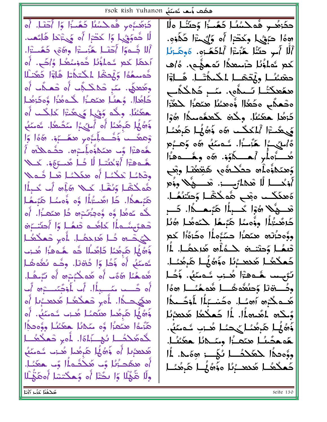Fsok Rish Yuhanon وَهُمْ وَمَعْهُمْ بِهِ Fsok Rish Yuhanon دَٰٓتَمَدُومٍ هُمكْسُلًا دُهُنُوا وَالْمُقَالِ أَه حَدَٰهُب فُمكْسُلًا كَعُبُزًا وَحَتَّـٰا هَالَ لًا خُووَٰىٰٓا وَا حَتَّةِا أَو وَيٰٓتِنَا فَاتَّعَبٍّ هِهُا حَرْفُي الْمُحْتَرَا أَه وَإِيْجِنَا حَكَمُوهِ. أَلَّا جُـوَرًا أَحْسَا هَّزُـــٰٓزَا وِهَيْ كَمَّــٰـٰٓزَا. أَلَّا أَسِ حَتَنَّا هَٰٓ: ثَالَ أَلْمَحَـٰٓ: وَ وَهَٰٓ: ثَارَ أَحْكَا كُمْ شُمْلُوْنُا شُوْمُئْعُداً وُاُضًى. أُو |كَتَمْ شَاؤُنُا حَبْسَعْدًا نَمْعَهُمْ. هُ/ف دُّەمىمُهُ| وَهْدَشًا لِمُحْتَدُّا قُاۋَا دَهَّنَال حعْننُــا وِيْتَعْــا لِمُحْمَّتْـا. فَــاوْا وهُعدَيٌ. سَرِ تَـٰهَـٰذَـٰهُٖٮ أَه تَـٰعـٰهُٮ أَه ھفَعلاَتُہا سَمِدُیٖ. سَبِ کَمْکُمُب كَاهُال. وُهلُل مِنْعَـزُل كُـومُدُل وُودَوْهُـا وضَعَكُم وَحُمُلا وُومِنْنَا مِنَعَبَا لَحَمَّرَا حَكَمُنَا. وَكُمْ وَفِيْهِا فَيَعْنَوْا كَلِكْتَ أَنْ دَّوْهَا حَقَيْتًا. وِكْنْ كَعْخُومْكَا شَوْا ذَهُ لَمَا هَرِهُمُا أَه أَسْرَحُ المَحْبِهُا. شَمَعُلُ مَحْمَدُ الْمُكَلَّبِ هِ وَهُ يَسْكَبُدُ أَيْسُفُرِيَّ وْهِمُــــا وَُحْـــولُرُوم مِمْـــرُو. 206 وَا ةُامِلَىٰ أَكَمَّتُ أَنْ شَوْمَتُ 60 وَهِجْم هُوهِ ۚ وَ ۖ مِنَكُوْوَلِّي ۖ وَ. حَضَّوكُوْ أَ هُــــأه أم أحــــدُوُو. هُء وِهْـــدهدُ! هُدفَرَا أَوْخُسًا لَّا دُا مُدِحَوَن. حُكلا وَهمَدْوُهْاه حثَكْـ هُورٍ هَقِهَمْ وَهُمْ وَهْلَ وفَمْنَا تَكْنَا أَه مِنَكْنَا مْنَا ثُبَهَ أُوْحُـــا لًا مْحَالِمُنِــــز. مْــــوْبِ وِوَٰمِ هُوجُعْظَ وَيُغْلِ كَحِلًّا هَٰٓإِهِ أَبَّ كَجِلًا ەَھككـــا ەبْعــا ھُەڭنْھَــا وُحتَنتُمُــا. هَيْتُمَمَّا. كَا اهْتَتّْبَلَّا وُهِ وُهْتُنَا هَيْتُمَا قْبِيْكَا هُوْا جُسِيلًا هَيُبْعَيْدًا. كَسَرِ لَّكُمْ مُوَهُلُّ وُو وُوْمِ رُسُوْرُهُ وَلَى الْمَحْمَرُا. إِنَّا كَرْهَدْ: أَلَمْ وَوْدْهُمْ لِلْمَحْمَلِ حَكَّدْهُمْ لَهُ مَا الْمَرْمَل دْهِرَّمِشُـهلُّا كَاهُــه تَعمُــا وَالْأَحتَنبَرْه وؤُهدُتُه هكعُرًّا حمَّرُّهاً اهدَّرْهُٱ كُم لِحَرْضَـ هُـ مُرْحَمُـا. لِمُو تَعَكْمُـا تْعِمْـا وُحِتْنِــةِ ۖ حَــٰهُلُمَّ هَٰـٰهِ حَفْـا ۖ ـٰمَّا ذَٰوَٰیُ) هَٰہِمُنَا دَامَُنَا ثُم جُنُوعُوا مُن كَعِنْتُمْا مُعْجَبُا هِؤُهُهُا مُبِعْنَا. غُمِّمُعُ أَنَّ ذَكَٰلٍ وَا دُقَوْلَا. وَشَّمَ تُعْدَهُــا لَوَّجِيب هُـوقَةَ الْمُنْزِبِ شُومَعُهُ. وَّذُـا هُدهُمُا هَدًى أَه هُدكْبُتِرْه أَه تَبُـدًا. أَه حُـــب منْـــــزاًا. أَب الْوَجَّنُبـــــــرْه أَب وحُـــةَ لَا وَحِبُعُهِ هُــــا هُـهِـمُـُـــا هِهُا مكهماً. أُوبر مُعكِّمًا مَعْدَبًا أَو هُــوكُـْرُهِ أَهْـُـلْ. وَكُنْـــرَاْلُ الْمَوْكَـــداُلْ ذَهُهَا هَٰبِهُما هلَهمُا هُـزَب شَمَعُهُ. أَه وَحْدَه لمعُمماً!. لَمَا كَعِنْطُا هَدِيرُنَا هَّزُهُمْ هَدَهُمْ أَوْهِ مَكَمْلًا هَهَّنْنَا وَوُوَقَمُّا ىگەھَك*ىڭى* ئېڭغان ماھىر ش**م**گھ*ى*ل هَدهدَّسُه همَد أو مِنْكُمْلِ هِلْمُسْلِ. مَّدْهَرُنَا أَهْ ذُهُ لَٰٓا هُرِهُنَا هُـْ: شُـُمْنَكُ وؤُوحِدًا لِحَمَّلَاحُـــا لَيُمِـــز 20مَحْ. لَمَا أَه مدهَّدَ زُنَّا وٌب هَٰذُشُماً اوَّب هِمَّنَا. كَعِنْتُمَا مُدْهَبُنَا وَذُوُهُا لَمْ هَرْهُنَا وِلًا شَّوْلًا وَا بِحَثَّا أَو وَجِحْتِيْنَا أَوْهَٰذَا لَ مُحْدُمُا حَرَّم ٱلْمَا seite 130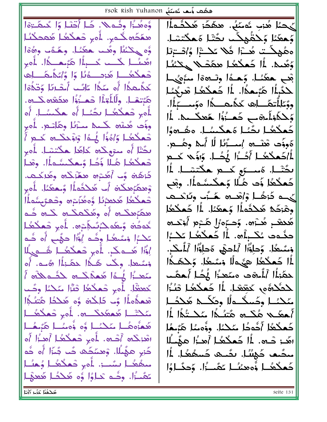Fsok Rish Yuhanon وَهُمْ آمِيْنِ بِهِ Fsok Rish Yuhanon وُهِ هُنُوا وشُملًا. كَمَا أَحْسًا وَالْمُحَمَّرْةَا حْكِمُ الْمَنْبِ شَمَعُهُ. هِهُكُمْ هَٰذَكُمْ ا ھكَھگەي. أُەير تَمْكْعُا مُعْجَدُنَا وَحِعَمًا وَحَقُوكُ بِكُتْبَا هَجَدْتِيا. ؤَهِ بِكَمْنُا وِهَٰبٍ حَكَمْاً. وِحَمَّدَت وِهُوَا هِ مَهِكَـتِ هُــْزَا فَلا عَــْـرَّا وُاصْـَرْنَا اقْبِلْكُمْ جُدِيلًا هَزْجَكُمْ وَهُمْ وَمَ وَمَّد ﴾ [ حَمكْعُه مَكْمَدُ وَكَمْنَا لِمُحَمَّدًا لَّهُ مَنْ الْمُحَمَّدُ تَعَكَّمُكُمْ لَمَرْدَحَتَّمُلَّا وَلَا وُٱكْلُمَكَّمْ لَهُمْ بْعِي هِعْنُما. وُهْدًا وِتْـ30\$ مِبْرَىٰہا حَدَّىعِدًا أَو سَدًا بَاتَبٍ أَجْرِبًا وَجَدَٰةَ! لِكَبِلًا هَبَعِدًا. لَمَا حَمِكْعُا شَرِجُنَا هَّرْتِمْهَا. ولَّالَمُّوْلَمَ دَهِدُوُّا مِحَمْدِهِ جَدْرِهِ. ووٌعُلِلٌتمَـــاتِ حَدٌمِـــدُا ووَمــــرُاْل لْمَامِ تَعَكْفُ لَدًٰا أَو حَكْسًا. أَو وَحْكَفِلُمِسَى حَمْسُوٰ الْمَعْكَسِينَ لَمَا وِذُبٌ مُحِبْثَهِ لَكَسِيمٌ مِسْؤُلًا وِهَٰاتِيهِ. لِمُورِ كَعِنْكُمْ لِحُمْلِ هَعِنْكُسُلْ. وَهُـْوَةُ تْعَكّْتُمْ وَٱوُدُّا هُـٰهُۥ وَآوْحَكْـِ مَحْـٰهِ لَا أَهُوفُ هُنْسُدًا إِسْتُرُبُلُ لَٰلاً أَيكُمْ وَهُسُعْ. ىڭتْا أە مىۋوڭدە كاھّا ھڭتشا. ماْەير لِمُأَكْمِكُمُا أَكُوُّا يُحُالِ وَآؤُلا كَلْمَ تْمكْتُدَا هُـلَّا وُّكْ وُجِعْكْيشُـوءُّا. وقْداً ىدَّتْـا. ەَجمــرَى كَـــم ھكْتشــا. لمُّا كَنْݣُوهْ وُبْ أَهُدْرُه هُمَّنْكُلُه وهُدْكُمْ. كَعِنْدْهَا وَجَا كُلًّا وَجِعْنُسْمَاًا. وَقِي وْمِحْكَرْمِدْلُو لَا مُحْكُمْاً وُحْمَدُا. لِمُورِ حْمِيهِ دَٰرْهُمْ أَوْاهْدِهِ هَنَّوْسٍ وِتَرْتَحِيهِ تَعطُعُا مَٰنِعْبُنَا وُءمُنَيْءِ۞ وتَعرُضِنُهاَا |وهْزَهُمْ هَٰلِكُمْاً| وَحِعَمًا. لَمْ هَٰمَلُكُمَا معتَّزملا به ومُلاعلا به لا يه دُ |هُدهْم هُـنْزُه. وُحِـرُهُ} هُـرْمِ أُوْتَــه لُددُن وُعدُدكُ مُبْتِرِه. لمُوبر تُـمحُدُد حنَّـوت عُكْـرِلُمْ. لَمَا كَـعَكْمُـا عَكْرًا عَكْرًا وَمُنْعَكَلٍ وَشَدٍ إِوَّٰٓا حَهَّبٍ أَن شَد . وَمَسْعَدًا. وَحِلَّوْاً ٱلْمَحْشَى هَجَلَوْاً ٱلْمُحْكِبِ. إِوًّا مَدكَّرٍ. أُمِّر ضَعكْمَٰـا هُـمِياً لَمْ هَمَكُمُا هِيُمالًا وَسُمِدًا. وَحَدَّمَـدًا وَسُبْعِدًا. وِكُبْ هَـٰذُا حَضَّرْأًا رَّدَّتْ. أَو حَمَّنَ أَلَمْ أَهْدَى مَمَّعَةُ أَرْكُمْ أَهْمَّت مَعِدُ الْمُهَا هُمِكْكُ مِكْسِمِلْاَهِ أَ لِحَثَكُوهُ وَ حَقِقَا. لَمَا كَمِكْعُا قَنْزًا كعقْل ـ أهبر شمكْعُل ثَنُّوا مَكْمًا وصُّب تَعمِدُوءُا وً خَلِكُةً وَ مَحْكُما هَتِنُـٰهِا مَكْسًا وحُسكُــهلًا وحَكَـــه هَكْحُـــا مَكْتَا مَعْمَىٰكَــْ مِ. أُمْرِ صْمَكْمَـٰا أحمكيه هُكْتُ هُنْكُمُ سَكَنْكُمُ أَلَ هُعزُههُــا مَكْــا وُه وُهمْــا هَرُـمُــا كَعِنْدُمْا أَثْدَدُا مَنْحَمْا. وِذُهِمُا هَبُعُا اقدنكه أقده. لمُوبر تَعْمَدُهُم أَهْدُا أَه اهَدْ دَهِ. لَمْ كَعِكْمُا أَهْدُا عَهْدُلَ دَٰ: وَهُـلًا. وْهِـنَدِّه مَّـ دَّـزَا أَه شَه مىڭىف كَجْشُل بْكْسْھْ كْسْھُعْلْ. لْمَا مىھُعْدا ئىنىپ، ماْەير كېڭىخىل ۇجئا كَعِنْكُمْ لِمُوْمِنُهُ لِمَنْكُمْ وَالْمُحَمَّدُوا وَالْمُسَارَةُ الْمُؤَامَرَةُ الْمُؤَامَرَةُ الْ كَعُسْزًا. وضَّم تَعَاوُا وُه هَٰلِكُمَا هَٰعَلَهَا

مَحْدُمُا حَبَّى ٱلْأَمَّا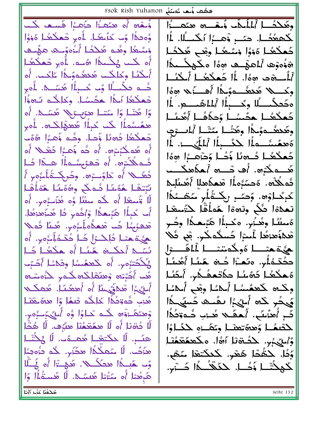Fsok Rish Yuhanon فَمَمَّة Fsok Rish Yuhanon وَّمْهُ أَو هَدَهُ أَرْهَا الْهَمْ كَبَ وهَكْشُما ٱلْمُلَكْبَ وَّمْقَسِهِ هِمَصِيةُ وُّەكمُّا وُب كَبُنفَـا. غُوي كَمَكْتُبا وَوْوُا كَعِعْدًا. حَبٍّ وْعِبُرا آكْساًا. لَمَا فسُعُل وهُــه مُحْكُــل أَــزُّهوَّـــها مَهْــف كَمْكُمُّا هُوْدُا وْسُمْعًا وِبْحِي مُحْكُـا أُه كُــد لِكُــدًا هُــد. لمُوءٍ تَـعكَـعُــا أشَوُّوهِ ٱلمَهْرَبِ وَوَا مَكْمِكَسَمَّا أَسْكُنَا وَكَلِكْتَ هُدَهُدَوُنَدًا عَلَيْتَ. أَه أَلْمِــــوْت سِوْا. لَمْ كَـعْكَمُــا أَمْكْنُــا ثُــه عكْـــلَا وُب كَـــرِمُّا هُنَيْــــمْ. لِمُورِ وكمللا مُعشَموُهُ أَو زَم تْعِكْمُا أَبْدًا حَضَّبُنَا. وَكَلِكُمْ تَآْوَةُا وَحَدِكْمِيْسًا وَجَيْبِرَاْ ٱلْمَلَوَّمِيْسِيْنِ. لَمَا وًا هَتْبًا وَا مَتِيَا مِوَبِّدَىٍ هَيْئَ أَهْ كَعِنْدُا حَدَّسُا وَحِدَّفُا أَمَّسُا همُسْدَمُّا گُب كَبِيًّا هُعِدْهَا كَلَهِ. لِمُوتِ وهَٰدهُـــهوۡماٗا وهَنُـــا مَنْـَــا ٱلملــــــرَب تَعَكَّمُا دُوبًا وَجَداً. وِثَّمَ وَجَدًا وَةَبَ هُهِمُسْسُماً لِكُبِراً ٱلْمَلَىٰ: ١َلْمِ الْمَصْرَةُ: ١ أُه هُدكُرْمُ». أُه خُه زُهـُ/ كَعْبُدْ أُه كَعِنْكُمْ لَـٰ مِنْ أَكُـٰ وَجَوْعَــٰزُ ۚ مِهْ ا ثُــملُلُـثره. أُه تَـعمَّبِسُــملُّا هــدَّا تُــا ثُعَّـــلا أَه تَـاوُــــْ;ه. وتُـرِجْــتُٰلَٰئُوم أَ ثَمِحُدٌهِ. هَجِيَّرُومُا قَمْعَهُمِلا أَهْمَلُهِمْ لَّتَفَا هُدَّسًا ثُـ2 \$ وهُدَّىًا هَٰذَاْقَـ1 كْبِكْلُوْهِ. وُحِمَّـ رَكْـتُمُلُو مَنْقَــتُمُّا لًا تُصِعْلِ أُو نَكُو صِبُبًا وُو هُزُكُوبٍ. أُو تَعْدَدَا ثُكُمْ وِتْ10\$ غَدَاُقًا حَتَّمَىهَا أَبِ كَبِلًا هَبَّىمَدًا وْاَخُوبِ دًا مَّيَّاهَاهُمْا. ەَمىسُّا وِھُـُر. مگـبِلًا ھَبُـمـدًا وصُـر هْدْئِهُا ثُبَّ هُمْدُهِ أُبُّومٍ. هُنَّا ثُمْلًا هَدَأَهَاهُمْ أَسْبَرَا حُسَكُمْكُمْ. بْعَ قُلًا هيَّ هنا دُلِكْرُل كَـا دُخْـدُلُمُّ وَبِ. أَه هَيْتَمِسْمِ أَوْلَاهِ مِنْهُمْ عَلَيْهِ مِنْ الْمُلَكَّسِيْم نُسَّلا أَحكَلَ هَنُا أَو هَكْمًا كَا حكُنَّـهُلُر. ونَعْـزَا كُــْ هَمْنُـا أُهُـْنُـا يُكْتَبَوْوِر. أَو خْعَفْسُا وِثْلاَسْا أَكْرَب هُعكْعُا دَهُنُا حكَتَعفُـكُم. أَحَنُـا هُد أَكَبْتُه وْهَنَعْلَىْلَاهِ كُلُمْ لِلْأَوْسُلُهِ وكله لمحتفشا ألملا وقب ألملا أَسْرَحْ إِنَّ هُدَيْ مِمَّا أَه أُهْهَدُ الْمُحَمَّدُ . هُدَمَّدُ هُذبِ شَه;فَهُّا كَلِگُم ثَنفُا وَّا هِمَّىغْنَـا يَهْ مِنْ أَمْرَيْهِ أَمْرَ مِنْ مِنْ مِنْ مِنْ مِنْ مِنْ وْهِكُمُ رَوْهِ ۚ كُلُّمْ كَبَاؤُا ۚ وَۚ ٱلَّهَ ۖ كَلَّى ۖ وَالَّهُمْ وَالَّذِينَ ۖ وَالَّهَ كَمِ أُهزَّمَكِ. أَحقَــه هُــزبِ شُــوَوَهُأَا لًا دُةتا أُه لًا محمَّقحُنَا مثَبِّفاً. لَا هُذُا لحقيسًا وَمِدهَتِمِتْنَا وِعَصَنِهِ لِكَبَاوُا هنّــ. لَا حكَّتهْــا هُمــهُــ. لَا لِحِثْـَـا وَّاسِّكِيْرِ. حَدُّدَّةَ لَا أَهُّا. مَخْعَفَعْفَدَا ھزَحُب. لَا سَٰعكٰدُا مِحَّرُرٍ. لَکُمْ جَرُوجُا وُدًا. حَقُدًا هَعْدِ. حُحكْتَعْا مَعْهِ. وًٰٮ هَٰبِـدًٰا مِحكَـــلا. مَٰذِــَٰٓا أُه لَمِــٰٓاْلُ كَهِنْتَـا وَٰدًـا. كَكَتْكُمُّا دَــْبَب. هَٰذِهُمْا أَه مَتَٰٓءًا هَسَبِهِ. لَا هَسَـٰةُ اُل وَّا مَحْدُمُا حَبَّى ٱلْأَمَّا seite 132